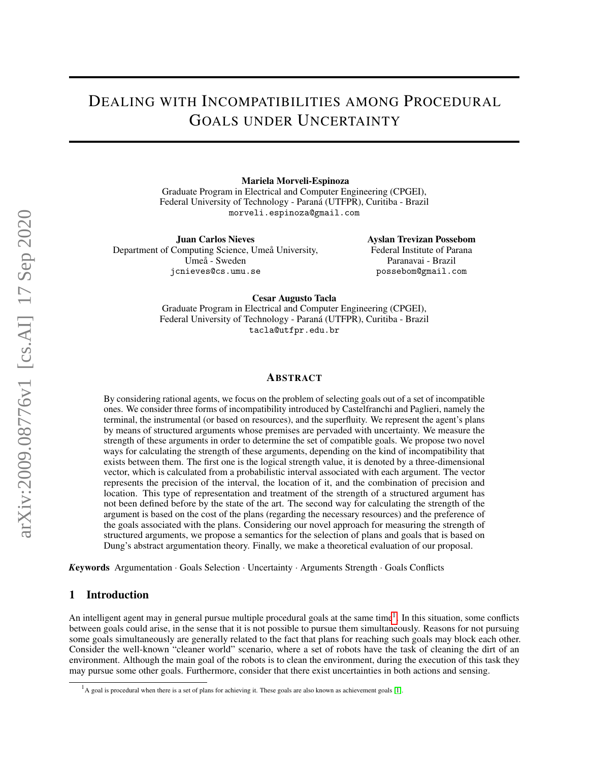# DEALING WITH INCOMPATIBILITIES AMONG PROCEDURAL GOALS UNDER UNCERTAINTY

Mariela Morveli-Espinoza

Graduate Program in Electrical and Computer Engineering (CPGEI), Federal University of Technology - Paraná (UTFPR), Curitiba - Brazil morveli.espinoza@gmail.com

Juan Carlos Nieves Department of Computing Science, Umeå University, Umeå - Sweden jcnieves@cs.umu.se

Ayslan Trevizan Possebom Federal Institute of Parana Paranavai - Brazil possebom@gmail.com

Cesar Augusto Tacla

Graduate Program in Electrical and Computer Engineering (CPGEI), Federal University of Technology - Paraná (UTFPR), Curitiba - Brazil tacla@utfpr.edu.br

### ABSTRACT

By considering rational agents, we focus on the problem of selecting goals out of a set of incompatible ones. We consider three forms of incompatibility introduced by Castelfranchi and Paglieri, namely the terminal, the instrumental (or based on resources), and the superfluity. We represent the agent's plans by means of structured arguments whose premises are pervaded with uncertainty. We measure the strength of these arguments in order to determine the set of compatible goals. We propose two novel ways for calculating the strength of these arguments, depending on the kind of incompatibility that exists between them. The first one is the logical strength value, it is denoted by a three-dimensional vector, which is calculated from a probabilistic interval associated with each argument. The vector represents the precision of the interval, the location of it, and the combination of precision and location. This type of representation and treatment of the strength of a structured argument has not been defined before by the state of the art. The second way for calculating the strength of the argument is based on the cost of the plans (regarding the necessary resources) and the preference of the goals associated with the plans. Considering our novel approach for measuring the strength of structured arguments, we propose a semantics for the selection of plans and goals that is based on Dung's abstract argumentation theory. Finally, we make a theoretical evaluation of our proposal.

*K*eywords Argumentation · Goals Selection · Uncertainty · Arguments Strength · Goals Conflicts

# 1 Introduction

An intelligent agent may in general pursue multiple procedural goals at the same time<sup>[1](#page-0-0)</sup>. In this situation, some conflicts between goals could arise, in the sense that it is not possible to pursue them simultaneously. Reasons for not pursuing some goals simultaneously are generally related to the fact that plans for reaching such goals may block each other. Consider the well-known "cleaner world" scenario, where a set of robots have the task of cleaning the dirt of an environment. Although the main goal of the robots is to clean the environment, during the execution of this task they may pursue some other goals. Furthermore, consider that there exist uncertainties in both actions and sensing.

<span id="page-0-0"></span> $<sup>1</sup>$  A goal is procedural when there is a set of plans for achieving it. These goals are also known as achievement goals [\[1\]](#page-12-0).</sup>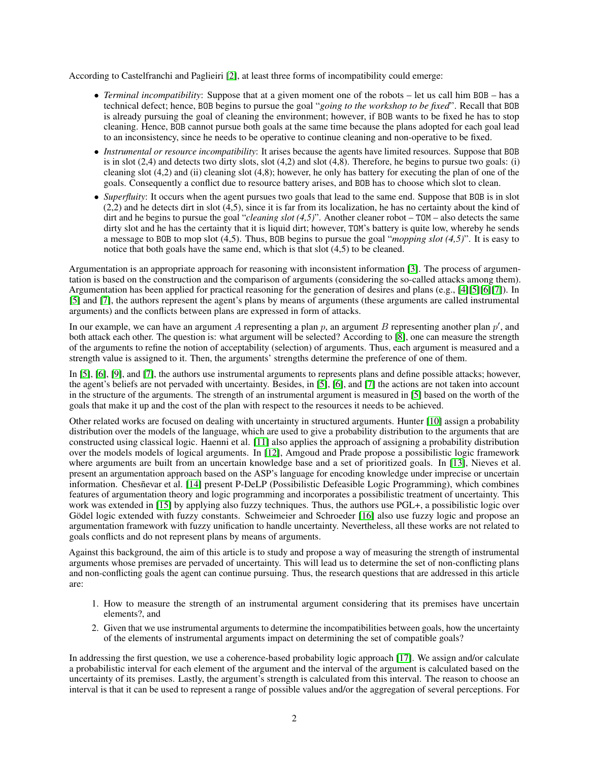According to Castelfranchi and Paglieiri [\[2\]](#page-12-1), at least three forms of incompatibility could emerge:

- *Terminal incompatibility*: Suppose that at a given moment one of the robots let us call him BOB has a technical defect; hence, BOB begins to pursue the goal "*going to the workshop to be fixed*". Recall that BOB is already pursuing the goal of cleaning the environment; however, if BOB wants to be fixed he has to stop cleaning. Hence, BOB cannot pursue both goals at the same time because the plans adopted for each goal lead to an inconsistency, since he needs to be operative to continue cleaning and non-operative to be fixed.
- *Instrumental or resource incompatibility*: It arises because the agents have limited resources. Suppose that BOB is in slot  $(2,4)$  and detects two dirty slots, slot  $(4,2)$  and slot  $(4,8)$ . Therefore, he begins to pursue two goals: (i) cleaning slot (4,2) and (ii) cleaning slot (4,8); however, he only has battery for executing the plan of one of the goals. Consequently a conflict due to resource battery arises, and BOB has to choose which slot to clean.
- *Superfluity*: It occurs when the agent pursues two goals that lead to the same end. Suppose that BOB is in slot (2,2) and he detects dirt in slot (4,5), since it is far from its localization, he has no certainty about the kind of dirt and he begins to pursue the goal "*cleaning slot (4,5)*". Another cleaner robot – TOM – also detects the same dirty slot and he has the certainty that it is liquid dirt; however, TOM's battery is quite low, whereby he sends a message to BOB to mop slot (4,5). Thus, BOB begins to pursue the goal "*mopping slot (4,5)*". It is easy to notice that both goals have the same end, which is that slot (4,5) to be cleaned.

Argumentation is an appropriate approach for reasoning with inconsistent information [\[3\]](#page-12-2). The process of argumentation is based on the construction and the comparison of arguments (considering the so-called attacks among them). Argumentation has been applied for practical reasoning for the generation of desires and plans (e.g., [\[4\]](#page-12-3)[\[5\]](#page-12-4)[\[6\]](#page-12-5)[\[7\]](#page-12-6)). In [\[5\]](#page-12-4) and [\[7\]](#page-12-6), the authors represent the agent's plans by means of arguments (these arguments are called instrumental arguments) and the conflicts between plans are expressed in form of attacks.

In our example, we can have an argument A representing a plan p, an argument B representing another plan  $p'$ , and both attack each other. The question is: what argument will be selected? According to [\[8\]](#page-12-7), one can measure the strength of the arguments to refine the notion of acceptability (selection) of arguments. Thus, each argument is measured and a strength value is assigned to it. Then, the arguments' strengths determine the preference of one of them.

In [\[5\]](#page-12-4), [\[6\]](#page-12-5), [\[9\]](#page-12-8), and [\[7\]](#page-12-6), the authors use instrumental arguments to represents plans and define possible attacks; however, the agent's beliefs are not pervaded with uncertainty. Besides, in [\[5\]](#page-12-4), [\[6\]](#page-12-5), and [\[7\]](#page-12-6) the actions are not taken into account in the structure of the arguments. The strength of an instrumental argument is measured in [\[5\]](#page-12-4) based on the worth of the goals that make it up and the cost of the plan with respect to the resources it needs to be achieved.

Other related works are focused on dealing with uncertainty in structured arguments. Hunter [\[10\]](#page-12-9) assign a probability distribution over the models of the language, which are used to give a probability distribution to the arguments that are constructed using classical logic. Haenni et al. [\[11\]](#page-12-10) also applies the approach of assigning a probability distribution over the models models of logical arguments. In [\[12\]](#page-12-11), Amgoud and Prade propose a possibilistic logic framework where arguments are built from an uncertain knowledge base and a set of prioritized goals. In [\[13\]](#page-12-12), Nieves et al. present an argumentation approach based on the ASP's language for encoding knowledge under imprecise or uncertain information. Chesñevar et al. [\[14\]](#page-12-13) present P-DeLP (Possibilistic Defeasible Logic Programming), which combines features of argumentation theory and logic programming and incorporates a possibilistic treatment of uncertainty. This work was extended in [\[15\]](#page-12-14) by applying also fuzzy techniques. Thus, the authors use PGL+, a possibilistic logic over Gödel logic extended with fuzzy constants. Schweimeier and Schroeder [\[16\]](#page-12-15) also use fuzzy logic and propose an argumentation framework with fuzzy unification to handle uncertainty. Nevertheless, all these works are not related to goals conflicts and do not represent plans by means of arguments.

Against this background, the aim of this article is to study and propose a way of measuring the strength of instrumental arguments whose premises are pervaded of uncertainty. This will lead us to determine the set of non-conflicting plans and non-conflicting goals the agent can continue pursuing. Thus, the research questions that are addressed in this article are:

- 1. How to measure the strength of an instrumental argument considering that its premises have uncertain elements?, and
- 2. Given that we use instrumental arguments to determine the incompatibilities between goals, how the uncertainty of the elements of instrumental arguments impact on determining the set of compatible goals?

In addressing the first question, we use a coherence-based probability logic approach [\[17\]](#page-12-16). We assign and/or calculate a probabilistic interval for each element of the argument and the interval of the argument is calculated based on the uncertainty of its premises. Lastly, the argument's strength is calculated from this interval. The reason to choose an interval is that it can be used to represent a range of possible values and/or the aggregation of several perceptions. For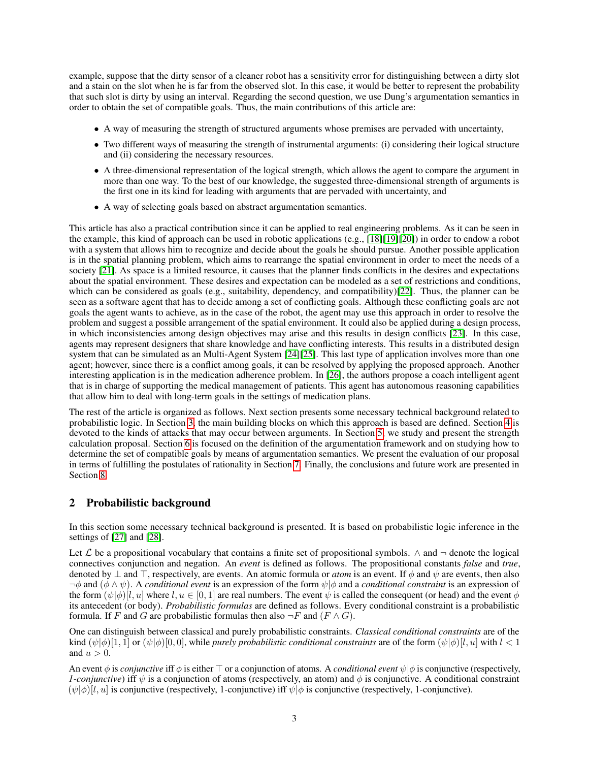example, suppose that the dirty sensor of a cleaner robot has a sensitivity error for distinguishing between a dirty slot and a stain on the slot when he is far from the observed slot. In this case, it would be better to represent the probability that such slot is dirty by using an interval. Regarding the second question, we use Dung's argumentation semantics in order to obtain the set of compatible goals. Thus, the main contributions of this article are:

- A way of measuring the strength of structured arguments whose premises are pervaded with uncertainty,
- Two different ways of measuring the strength of instrumental arguments: (i) considering their logical structure and (ii) considering the necessary resources.
- A three-dimensional representation of the logical strength, which allows the agent to compare the argument in more than one way. To the best of our knowledge, the suggested three-dimensional strength of arguments is the first one in its kind for leading with arguments that are pervaded with uncertainty, and
- A way of selecting goals based on abstract argumentation semantics.

This article has also a practical contribution since it can be applied to real engineering problems. As it can be seen in the example, this kind of approach can be used in robotic applications (e.g., [\[18\]](#page-13-0)[\[19\]](#page-13-1)[\[20\]](#page-13-2)) in order to endow a robot with a system that allows him to recognize and decide about the goals he should pursue. Another possible application is in the spatial planning problem, which aims to rearrange the spatial environment in order to meet the needs of a society [\[21\]](#page-13-3). As space is a limited resource, it causes that the planner finds conflicts in the desires and expectations about the spatial environment. These desires and expectation can be modeled as a set of restrictions and conditions, which can be considered as goals (e.g., suitability, dependency, and compatibility)[\[22\]](#page-13-4). Thus, the planner can be seen as a software agent that has to decide among a set of conflicting goals. Although these conflicting goals are not goals the agent wants to achieve, as in the case of the robot, the agent may use this approach in order to resolve the problem and suggest a possible arrangement of the spatial environment. It could also be applied during a design process, in which inconsistencies among design objectives may arise and this results in design conflicts [\[23\]](#page-13-5). In this case, agents may represent designers that share knowledge and have conflicting interests. This results in a distributed design system that can be simulated as an Multi-Agent System [\[24\]](#page-13-6)[\[25\]](#page-13-7). This last type of application involves more than one agent; however, since there is a conflict among goals, it can be resolved by applying the proposed approach. Another interesting application is in the medication adherence problem. In [\[26\]](#page-13-8), the authors propose a coach intelligent agent that is in charge of supporting the medical management of patients. This agent has autonomous reasoning capabilities that allow him to deal with long-term goals in the settings of medication plans.

The rest of the article is organized as follows. Next section presents some necessary technical background related to probabilistic logic. In Section [3,](#page-3-0) the main building blocks on which this approach is based are defined. Section [4](#page-4-0) is devoted to the kinds of attacks that may occur between arguments. In Section [5,](#page-6-0) we study and present the strength calculation proposal. Section [6](#page-7-0) is focused on the definition of the argumentation framework and on studying how to determine the set of compatible goals by means of argumentation semantics. We present the evaluation of our proposal in terms of fulfilling the postulates of rationality in Section [7.](#page-9-0) Finally, the conclusions and future work are presented in Section [8.](#page-11-0)

## 2 Probabilistic background

In this section some necessary technical background is presented. It is based on probabilistic logic inference in the settings of [\[27\]](#page-13-9) and [\[28\]](#page-13-10).

Let  $\mathcal L$  be a propositional vocabulary that contains a finite set of propositional symbols.  $\wedge$  and  $\neg$  denote the logical connectives conjunction and negation. An *event* is defined as follows. The propositional constants *false* and *true*, denoted by  $\perp$  and  $\top$ , respectively, are events. An atomic formula or *atom* is an event. If  $\phi$  and  $\psi$  are events, then also  $\neg \phi$  and ( $\phi \wedge \psi$ ). A *conditional event* is an expression of the form  $\psi | \phi$  and a *conditional constraint* is an expression of the form  $(\psi|\phi)[l, u]$  where  $l, u \in [0, 1]$  are real numbers. The event  $\psi$  is called the consequent (or head) and the event  $\phi$ its antecedent (or body). *Probabilistic formulas* are defined as follows. Every conditional constraint is a probabilistic formula. If F and G are probabilistic formulas then also  $\neg F$  and  $(F \wedge G)$ .

One can distinguish between classical and purely probabilistic constraints. *Classical conditional constraints* are of the kind  $(\psi|\phi)[1,1]$  or  $(\psi|\phi)[0,0]$ , while *purely probabilistic conditional constraints* are of the form  $(\psi|\phi)[l, u]$  with  $l < 1$ and  $u > 0$ .

An event  $\phi$  is *conjunctive* iff  $\phi$  is either  $\top$  or a conjunction of atoms. A *conditional event*  $\psi|\phi$  is conjunctive (respectively, *1-conjunctive*) iff  $\psi$  is a conjunction of atoms (respectively, an atom) and  $\phi$  is conjunctive. A conditional constraint  $(\psi|\phi)$ [l, u] is conjunctive (respectively, 1-conjunctive) iff  $\psi|\phi$  is conjunctive (respectively, 1-conjunctive).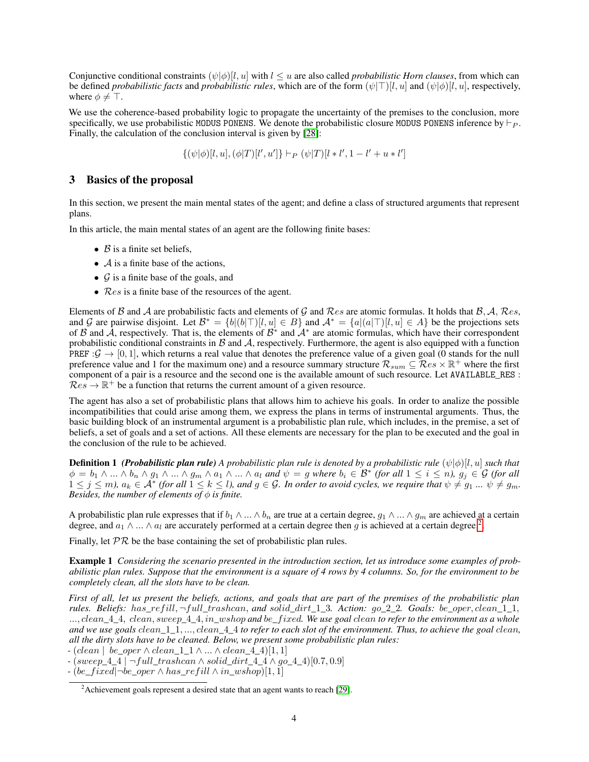Conjunctive conditional constraints  $(\psi|\phi)(l, u]$  with  $l \leq u$  are also called *probabilistic Horn clauses*, from which can be defined *probabilistic facts* and *probabilistic rules*, which are of the form  $(\psi|\top)[l, u]$  and  $(\psi|\phi)[l, u]$ , respectively, where  $\phi \neq \top$ .

We use the coherence-based probability logic to propagate the uncertainty of the premises to the conclusion, more specifically, we use probabilistic MODUS PONENS. We denote the probabilistic closure MODUS PONENS inference by  $\vdash_{P}$ . Finally, the calculation of the conclusion interval is given by [\[28\]](#page-13-10):

 $\{(\psi|\phi)[l, u], (\phi|T)[l', u']\} \vdash_P (\psi|T)[l * l', 1 - l' + u * l']$ 

## <span id="page-3-0"></span>3 Basics of the proposal

In this section, we present the main mental states of the agent; and define a class of structured arguments that represent plans.

In this article, the main mental states of an agent are the following finite bases:

- $\beta$  is a finite set beliefs,
- $\mathcal A$  is a finite base of the actions,
- $\mathcal G$  is a finite base of the goals, and
- $Res$  is a finite base of the resources of the agent.

Elements of B and A are probabilistic facts and elements of G and Res are atomic formulas. It holds that B, A, Res, and G are pairwise disjoint. Let  $\mathcal{B}^* = \{b | (b|\top) [l, u] \in B\}$  and  $\mathcal{A}^* = \{a | (a|\top) [l, u] \in A\}$  be the projections sets of B and  $\hat{A}$ , respectively. That is, the elements of  $B^*$  and  $A^*$  are atomic formulas, which have their correspondent probabilistic conditional constraints in  $\beta$  and  $\beta$ , respectively. Furthermore, the agent is also equipped with a function PREF :  $\mathcal{G} \to [0, 1]$ , which returns a real value that denotes the preference value of a given goal (0 stands for the null preference value and 1 for the maximum one) and a resource summary structure  $\mathcal{R}_{sum} \subseteq \mathcal{R}es \times \mathbb{R}^+$  where the first component of a pair is a resource and the second one is the available amount of such resource. Let AVAILABLE\_RES :  $Res \rightarrow \mathbb{R}^+$  be a function that returns the current amount of a given resource.

The agent has also a set of probabilistic plans that allows him to achieve his goals. In order to analize the possible incompatibilities that could arise among them, we express the plans in terms of instrumental arguments. Thus, the basic building block of an instrumental argument is a probabilistic plan rule, which includes, in the premise, a set of beliefs, a set of goals and a set of actions. All these elements are necessary for the plan to be executed and the goal in the conclusion of the rule to be achieved.

**Definition 1** *(Probabilistic plan rule) A probabilistic plan rule is denoted by a probabilistic rule*  $(\psi|\phi)$ [*l, u] such that*  $\phi = b_1 \wedge ... \wedge b_n \wedge g_1 \wedge ... \wedge g_m \wedge a_1 \wedge ... \wedge a_l$  and  $\psi = g$  where  $b_i \in \mathcal{B}^*$  (for all  $1 \leq i \leq n$ ),  $g_j \in \mathcal{G}$  (for all  $1 \leq j \leq m$ ),  $a_k \in \mathcal{A}^*$  (for all  $1 \leq k \leq l$ ), and  $g \in \mathcal{G}$ . In order to avoid cycles, we require that  $\psi \neq g_1, \dots, \psi \neq g_m$ . *Besides, the number of elements of*  $\phi$  *is finite.* 

A probabilistic plan rule expresses that if  $b_1 \wedge ... \wedge b_n$  are true at a certain degree,  $g_1 \wedge ... \wedge g_m$  are achieved at a certain degree, and  $a_1 \wedge ... \wedge a_l$  are accurately performed at a certain degree then g is achieved at a certain degree.<sup>[2](#page-3-1)</sup>.

Finally, let  $PR$  be the base containing the set of probabilistic plan rules.

Example 1 *Considering the scenario presented in the introduction section, let us introduce some examples of probabilistic plan rules. Suppose that the environment is a square of 4 rows by 4 columns. So, for the environment to be completely clean, all the slots have to be clean.*

*First of all, let us present the beliefs, actions, and goals that are part of the premises of the probabilistic plan rules. Beliefs:* has*\_*ref ill, ¬full*\_*trashcan, *and* solid*\_*dirt*\_*1*\_*3*. Action:* go*\_*2*\_*2*. Goals:* be*\_*oper, clean*\_*1*\_*1, ..., clean*\_*4*\_*4, clean, sweep*\_*4*\_*4, in*\_*wshop *and* be*\_*f ixed*. We use goal* clean *to refer to the environment as a whole and we use goals* clean*\_*1*\_*1, ..., clean*\_*4*\_*4 *to refer to each slot of the environment. Thus, to achieve the goal* clean*, all the dirty slots have to be cleaned. Below, we present some probabilistic plan rules:*

*-* (clean | be*\_*oper ∧ clean*\_*1*\_*1 ∧ ... ∧ clean*\_*4*\_*4)[1, 1]

*-* (sweep*\_*4*\_*4 | ¬full*\_*trashcan ∧ solid*\_*dirt*\_*4*\_*4 ∧ go*\_*4*\_*4)[0.7, 0.9]

*-* (be*\_*f ixed|¬be*\_*oper ∧ has*\_*ref ill ∧ in*\_*wshop)[1, 1]

<span id="page-3-1"></span> $2$ Achievement goals represent a desired state that an agent wants to reach [\[29\]](#page-13-11).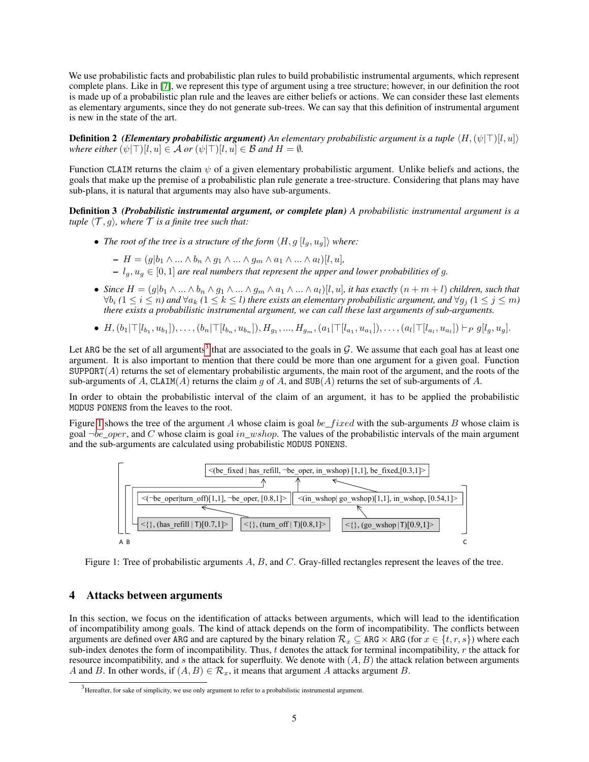We use probabilistic facts and probabilistic plan rules to build probabilistic instrumental arguments, which represent complete plans. Like in [\[7\]](#page-12-6), we represent this type of argument using a tree structure; however, in our definition the root is made up of a probabilistic plan rule and the leaves are either beliefs or actions. We can consider these last elements as elementary arguments, since they do not generate sub-trees. We can say that this definition of instrumental argument is new in the state of the art.

**Definition 2** *(Elementary probabilistic argument) An elementary probabilistic argument is a tuple*  $\langle H, (\psi | \top) | l, u \rangle$ *where either*  $(\psi | \top) [l, u] \in \mathcal{A}$  *or*  $(\psi | \top) [l, u] \in \mathcal{B}$  *and*  $H = \emptyset$ *.* 

Function CLAIM returns the claim  $\psi$  of a given elementary probabilistic argument. Unlike beliefs and actions, the goals that make up the premise of a probabilistic plan rule generate a tree-structure. Considering that plans may have sub-plans, it is natural that arguments may also have sub-arguments.

Definition 3 *(Probabilistic instrumental argument, or complete plan) A probabilistic instrumental argument is a tuple*  $\langle T, q \rangle$ *, where*  $T$  *is a finite tree such that:* 

• *The root of the tree is a structure of the form*  $\langle H, g [l_g, u_g] \rangle$  *where:* 

$$
- H = (g|b_1 \wedge ... \wedge b_n \wedge g_1 \wedge ... \wedge g_m \wedge a_1 \wedge ... \wedge a_l)[l, u],
$$

 $l_q, u_q \in [0, 1]$  *are real numbers that represent the upper and lower probabilities of g.* 

- *Since*  $H = (g|b_1 \wedge ... \wedge b_n \wedge g_1 \wedge ... \wedge g_m \wedge a_1 \wedge ... \wedge a_l)[l, u]$ , *it has exactly*  $(n+m+l)$  *children, such that*  $\forall b_i$  (1 ≤ *i* ≤ *n*) and  $\forall a_k$  (1 ≤ *k* ≤ *l*) there exists an elementary probabilistic argument, and  $\forall g_j$  (1 ≤ *j* ≤ *m*) *there exists a probabilistic instrumental argument, we can call these last arguments of sub-arguments.*
- $H, (b_1 | \top [l_{b_1}, u_{b_1}]), \ldots, (b_n | \top [l_{b_n}, u_{b_n}]), H_{g_1}, \ldots, H_{g_m}, (a_1 | \top [l_{a_1}, u_{a_1}]), \ldots, (a_l | \top [l_{a_l}, u_{a_l}]) \vdash_P g[l_g, u_g].$

Let ARG be the set of all arguments<sup>[3](#page-4-1)</sup> that are associated to the goals in  $G$ . We assume that each goal has at least one argument. It is also important to mention that there could be more than one argument for a given goal. Function  $SUPPORT(A)$  returns the set of elementary probabilistic arguments, the main root of the argument, and the roots of the sub-arguments of A, CLAIM(A) returns the claim g of A, and SUB(A) returns the set of sub-arguments of A.

In order to obtain the probabilistic interval of the claim of an argument, it has to be applied the probabilistic MODUS PONENS from the leaves to the root.

Figure [1](#page-4-2) shows the tree of the argument A whose claim is goal be\_fixed with the sub-arguments B whose claim is goal  $\neg be\_oper$ , and C whose claim is goal in\_wshop. The values of the probabilistic intervals of the main argument and the sub-arguments are calculated using probabilistic MODUS PONENS.

<span id="page-4-2"></span>

Figure 1: Tree of probabilistic arguments  $A$ ,  $B$ , and  $C$ . Gray-filled rectangles represent the leaves of the tree.

# <span id="page-4-0"></span>4 Attacks between arguments

In this section, we focus on the identification of attacks between arguments, which will lead to the identification of incompatibility among goals. The kind of attack depends on the form of incompatibility. The conflicts between arguments are defined over ARG and are captured by the binary relation  $\mathcal{R}_x \subseteq \text{ARG} \times \text{ARG}$  (for  $x \in \{t, r, s\}$ ) where each sub-index denotes the form of incompatibility. Thus, t denotes the attack for terminal incompatibility,  $r$  the attack for resource incompatibility, and  $s$  the attack for superfluity. We denote with  $(A, B)$  the attack relation between arguments A and B. In other words, if  $(A, B) \in \mathcal{R}_x$ , it means that argument A attacks argument B.

<span id="page-4-1"></span> $3$  Hereafter, for sake of simplicity, we use only argument to refer to a probabilistic instrumental argument.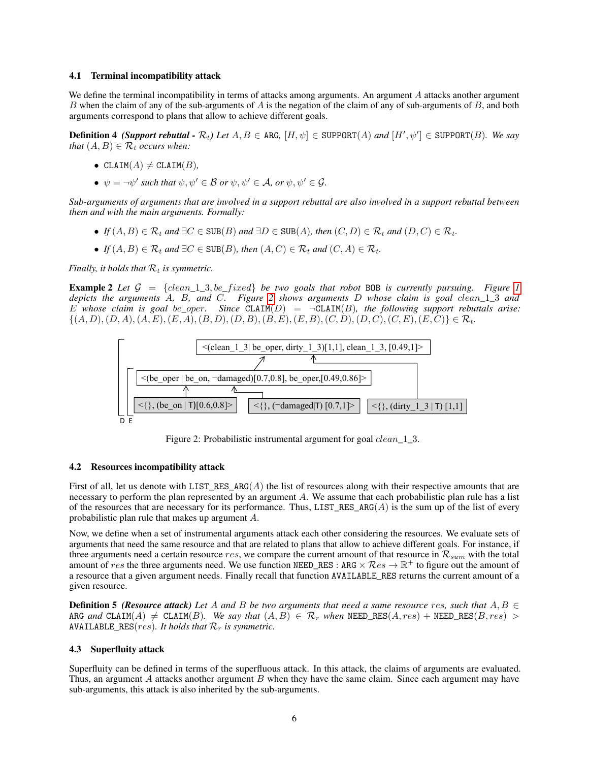#### 4.1 Terminal incompatibility attack

We define the terminal incompatibility in terms of attacks among arguments. An argument  $A$  attacks another argument B when the claim of any of the sub-arguments of  $A$  is the negation of the claim of any of sub-arguments of  $B$ , and both arguments correspond to plans that allow to achieve different goals.

**Definition 4** *(Support rebuttal - R<sub>t</sub>) Let*  $A, B \in \text{ARG}, [H, \psi] \in \text{SUPPORT}(A)$  *and*  $[H', \psi'] \in \text{SUPPORT}(B)$ *. We say that*  $(A, B) \in \mathcal{R}_t$  *occurs when:* 

- CLAIM $(A) \neq$  CLAIM $(B)$ *,*
- $\psi = \neg \psi'$  such that  $\psi, \psi' \in \mathcal{B}$  or  $\psi, \psi' \in \mathcal{A}$ , or  $\psi, \psi' \in \mathcal{G}$ .

*Sub-arguments of arguments that are involved in a support rebuttal are also involved in a support rebuttal between them and with the main arguments. Formally:*

- *If*  $(A, B) \in \mathcal{R}_t$  *and*  $\exists C \in SUB(B)$  *and*  $\exists D \in SUB(A)$ *, then*  $(C, D) \in \mathcal{R}_t$  *and*  $(D, C) \in \mathcal{R}_t$ *.*
- *If*  $(A, B) \in \mathcal{R}_t$  *and*  $\exists C \in SUB(B)$ *, then*  $(A, C) \in \mathcal{R}_t$  *and*  $(C, A) \in \mathcal{R}_t$ *.*

*Finally, it holds that*  $\mathcal{R}_t$  *is symmetric.* 

<span id="page-5-1"></span>**Example 2** Let  $G = \{clean\_1\_3, be\_fixed\}$  be two goals that robot BOB is currently pursuing. Figure [1](#page-4-2) *depicts the arguments* A*,* B*, and* C*. Figure [2](#page-5-0) shows arguments* D *whose claim is goal* clean*\_*1*\_*3 *and* E whose claim is goal be\_oper. Since  $CLAIM(D) = \neg CLAIM(B)$ *, the following support rebuttals arise:*  $\{(A, D), (D, A), (A, E), (E, A), (B, D), (D, B), (B, E), (E, B), (C, D), (D, C), (C, E), (E, C)\}\in\mathcal{R}_t.$ 



<span id="page-5-0"></span>Figure 2: Probabilistic instrumental argument for goal *clean* 1 3.

#### 4.2 Resources incompatibility attack

First of all, let us denote with LIST\_RES\_ARG( $A$ ) the list of resources along with their respective amounts that are necessary to perform the plan represented by an argument A. We assume that each probabilistic plan rule has a list of the resources that are necessary for its performance. Thus, LIST\_RES\_ARG( $A$ ) is the sum up of the list of every probabilistic plan rule that makes up argument A.

Now, we define when a set of instrumental arguments attack each other considering the resources. We evaluate sets of arguments that need the same resource and that are related to plans that allow to achieve different goals. For instance, if three arguments need a certain resource res, we compare the current amount of that resource in  $\mathcal{R}_{sum}$  with the total amount of res the three arguments need. We use function NEED\_RES : ARG  $\times$  Res  $\rightarrow \mathbb{R}^+$  to figure out the amount of a resource that a given argument needs. Finally recall that function AVAILABLE\_RES returns the current amount of a given resource.

**Definition 5** *(Resource attack)* Let A and B be two arguments that need a same resource res, such that  $A, B \in$ ARG and CLAIM(A)  $\neq$  CLAIM(B). We say that  $(A, B) \in \mathcal{R}_r$  when NEED\_RES(A, res) + NEED\_RES(B, res) > AVAILABLE\_RES( $res$ ). It holds that  $\mathcal{R}_r$  is symmetric.

#### 4.3 Superfluity attack

Superfluity can be defined in terms of the superfluous attack. In this attack, the claims of arguments are evaluated. Thus, an argument  $A$  attacks another argument  $B$  when they have the same claim. Since each argument may have sub-arguments, this attack is also inherited by the sub-arguments.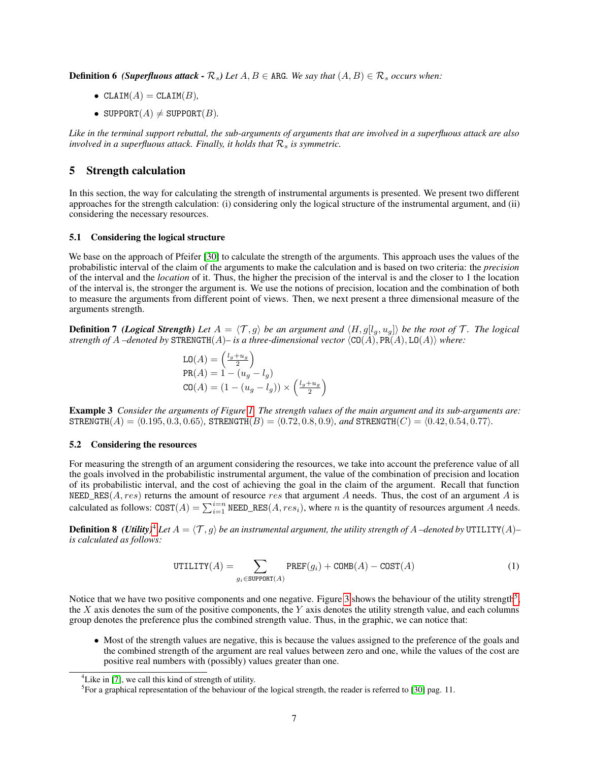**Definition 6** *(Superfluous attack - R<sub>s</sub>)**Let* $A, B \in \text{ARG}$ *. We say that* $(A, B) \in \mathcal{R}$ *s**occurs when:* 

- $CLAIM(A) = CLAIM(B)$ *,*
- SUPPORT $(A) \neq$  SUPPORT $(B)$ .

*Like in the terminal support rebuttal, the sub-arguments of arguments that are involved in a superfluous attack are also involved in a superfluous attack. Finally, it holds that*  $\mathcal{R}_s$  *is symmetric.* 

## <span id="page-6-0"></span>5 Strength calculation

In this section, the way for calculating the strength of instrumental arguments is presented. We present two different approaches for the strength calculation: (i) considering only the logical structure of the instrumental argument, and (ii) considering the necessary resources.

### 5.1 Considering the logical structure

We base on the approach of Pfeifer [\[30\]](#page-13-12) to calculate the strength of the arguments. This approach uses the values of the probabilistic interval of the claim of the arguments to make the calculation and is based on two criteria: the *precision* of the interval and the *location* of it. Thus, the higher the precision of the interval is and the closer to 1 the location of the interval is, the stronger the argument is. We use the notions of precision, location and the combination of both to measure the arguments from different point of views. Then, we next present a three dimensional measure of the arguments strength.

**Definition 7** *(Logical Strength) Let*  $A = \langle T, g \rangle$  *be an argument and*  $\langle H, g[l_g, u_g] \rangle$  *be the root of* T. The logical *strength of*  $A$  –denoted by  $\text{STRENGTH}(A)$ – is a three-dimensional vector  $\langle \text{CO}(A), \text{PR}(A), \text{LO}(A) \rangle$  *where:* 

$$
LO(A) = \left(\frac{l_g + u_g}{2}\right)
$$
  
PR(A) = 1 - (u\_g - l\_g)  

$$
CO(A) = (1 - (u_g - l_g)) \times \left(\frac{l_g + u_g}{2}\right)
$$

<span id="page-6-3"></span>Example 3 *Consider the arguments of Figure [1.](#page-4-2) The strength values of the main argument and its sub-arguments are:*  $STERENGTH(A) = \langle 0.195, 0.3, 0.65 \rangle$ ,  $STERENGTH(B) = \langle 0.72, 0.8, 0.9 \rangle$ *, and*  $STERENGTH(C) = \langle 0.42, 0.54, 0.77 \rangle$ *.* 

## 5.2 Considering the resources

For measuring the strength of an argument considering the resources, we take into account the preference value of all the goals involved in the probabilistic instrumental argument, the value of the combination of precision and location of its probabilistic interval, and the cost of achieving the goal in the claim of the argument. Recall that function NEED\_RES( $A, res$ ) returns the amount of resource res that argument  $A$  needs. Thus, the cost of an argument  $A$  is calculated as follows:  $COST(A) = \sum_{i=1}^{i=n} \text{NEED\_RES}(A, res_i)$ , where *n* is the quantity of resources argument *A* needs.

**Definition 8** *(Utility)<sup>[4](#page-6-1)</sup> Let*  $A = \langle T, g \rangle$  *be an instrumental argument, the utility strength of*  $A$  *–denoted by* UTILITY( $A$ )– *is calculated as follows:*

$$
UTILITY(A) = \sum_{g_i \in \text{SUPPORT}(A)} \text{PREF}(g_i) + \text{COMP}(A) - \text{COST}(A)
$$
 (1)

Notice that we have two positive components and one negative. Figure [3](#page-7-1) shows the behaviour of the utility strength<sup>[5](#page-6-2)</sup>, the  $X$  axis denotes the sum of the positive components, the  $Y$  axis denotes the utility strength value, and each columns group denotes the preference plus the combined strength value. Thus, in the graphic, we can notice that:

• Most of the strength values are negative, this is because the values assigned to the preference of the goals and the combined strength of the argument are real values between zero and one, while the values of the cost are positive real numbers with (possibly) values greater than one.

<span id="page-6-1"></span><sup>&</sup>lt;sup>4</sup> Like in [\[7\]](#page-12-6), we call this kind of strength of utility.

<span id="page-6-2"></span><sup>&</sup>lt;sup>5</sup> For a graphical representation of the behaviour of the logical strength, the reader is referred to [\[30\]](#page-13-12) pag. 11.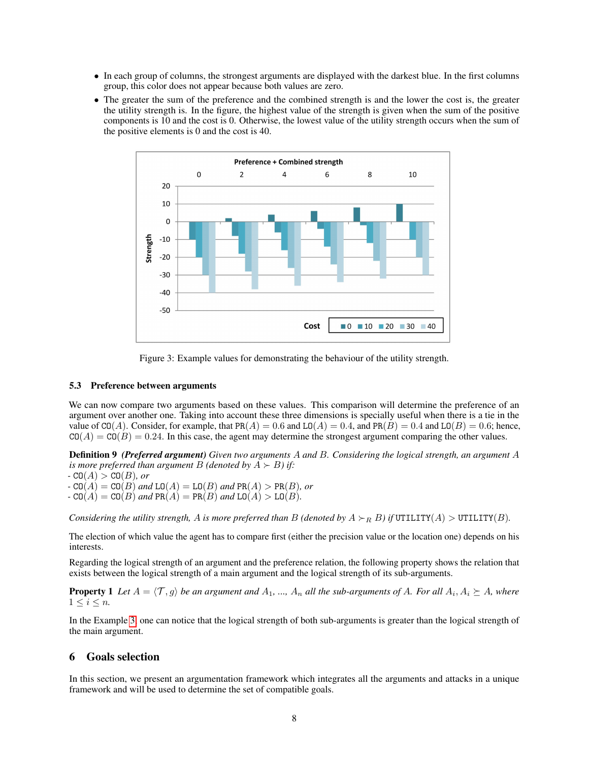- In each group of columns, the strongest arguments are displayed with the darkest blue. In the first columns group, this color does not appear because both values are zero.
- The greater the sum of the preference and the combined strength is and the lower the cost is, the greater the utility strength is. In the figure, the highest value of the strength is given when the sum of the positive components is 10 and the cost is 0. Otherwise, the lowest value of the utility strength occurs when the sum of the positive elements is 0 and the cost is 40.



<span id="page-7-1"></span>

#### 5.3 Preference between arguments

We can now compare two arguments based on these values. This comparison will determine the preference of an argument over another one. Taking into account these three dimensions is specially useful when there is a tie in the value of CO(A). Consider, for example, that PR(A) = 0.6 and LO(A) = 0.4, and PR(B) = 0.4 and LO(B) = 0.6; hence,  $CO(A) = CO(B) = 0.24$ . In this case, the agent may determine the strongest argument comparing the other values.

Definition 9 *(Preferred argument) Given two arguments* A *and* B*. Considering the logical strength, an argument* A *is more preferred than argument B* (*denoted by*  $\overline{A} \succ B$ ) *if:* 

*-*  $CO(A) > CO(B)$ *, or* 

- $-$  CO( $A$ ) = CO( $B$ ) *and* LO( $A$ ) = LO( $B$ ) *and* PR( $A$ ) > PR( $B$ )*, or*
- $-$  CO( $A$ ) = CO( $B$ ) *and* PR( $A$ ) = PR( $B$ ) *and* LO( $A$ ) > LO( $B$ )*.*

*Considering the utility strength,* A *is more preferred than* B *(denoted by*  $A \succ_R B$ ) *if* UTILITY $(A) >$  UTILITY $(B)$ *.* 

The election of which value the agent has to compare first (either the precision value or the location one) depends on his interests.

Regarding the logical strength of an argument and the preference relation, the following property shows the relation that exists between the logical strength of a main argument and the logical strength of its sub-arguments.

**Property 1** Let  $A = \langle T, g \rangle$  be an argument and  $A_1, ..., A_n$  all the sub-arguments of A. For all  $A_i, A_i \succeq A$ , where  $1 \leq i \leq n$ .

In the Example [3,](#page-6-3) one can notice that the logical strength of both sub-arguments is greater than the logical strength of the main argument.

# <span id="page-7-0"></span>6 Goals selection

In this section, we present an argumentation framework which integrates all the arguments and attacks in a unique framework and will be used to determine the set of compatible goals.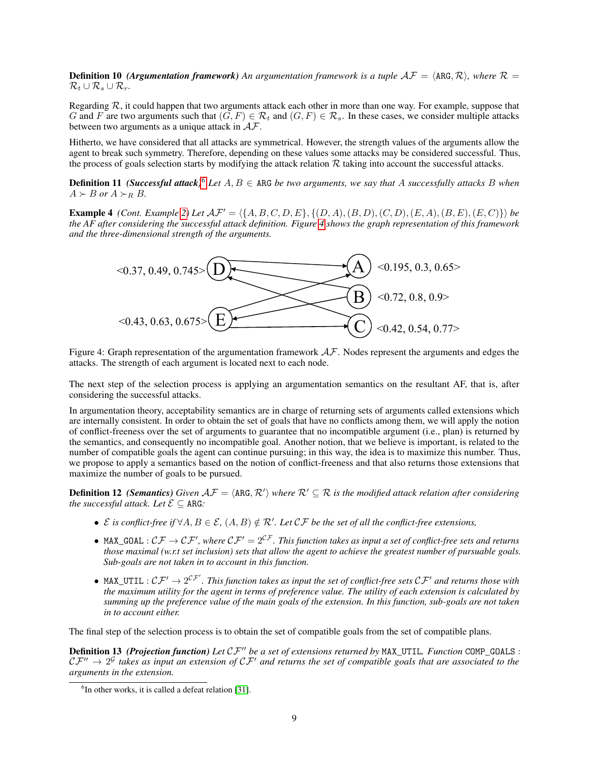**Definition 10** *(Argumentation framework)* An argumentation framework is a tuple  $AF = \langle \text{ARG}, \mathcal{R} \rangle$ , where  $\mathcal{R} =$  $\mathcal{R}_t \cup \mathcal{R}_s \cup \mathcal{R}_r$ .

Regarding  $R$ , it could happen that two arguments attack each other in more than one way. For example, suppose that G and F are two arguments such that  $(G, F) \in \mathcal{R}_t$  and  $(G, F) \in \mathcal{R}_s$ . In these cases, we consider multiple attacks between two arguments as a unique attack in  $AF$ .

Hitherto, we have considered that all attacks are symmetrical. However, the strength values of the arguments allow the agent to break such symmetry. Therefore, depending on these values some attacks may be considered successful. Thus, the process of goals selection starts by modifying the attack relation  $R$  taking into account the successful attacks.

**Definition 11** *(Successful attack)*<sup>[6](#page-8-0)</sup> *Let*  $A, B \in \text{ARG }$  *be two arguments, we say that* A *successfully attacks* B *when*  $A \succ B$  or  $A \succ_R B$ .

<span id="page-8-2"></span>**Example 4** *(Cont. Example [2\)](#page-5-1)* Let  $AF' = \langle \{A, B, C, D, E\}, \{(D, A), (B, D), (C, D), (E, A), (B, E), (E, C)\}\rangle$  be *the AF after considering the successful attack definition. Figure [4](#page-8-1) shows the graph representation of this framework and the three-dimensional strength of the arguments.*

<span id="page-8-1"></span>

Figure 4: Graph representation of the argumentation framework  $A\mathcal{F}$ . Nodes represent the arguments and edges the attacks. The strength of each argument is located next to each node.

The next step of the selection process is applying an argumentation semantics on the resultant AF, that is, after considering the successful attacks.

In argumentation theory, acceptability semantics are in charge of returning sets of arguments called extensions which are internally consistent. In order to obtain the set of goals that have no conflicts among them, we will apply the notion of conflict-freeness over the set of arguments to guarantee that no incompatible argument (i.e., plan) is returned by the semantics, and consequently no incompatible goal. Another notion, that we believe is important, is related to the number of compatible goals the agent can continue pursuing; in this way, the idea is to maximize this number. Thus, we propose to apply a semantics based on the notion of conflict-freeness and that also returns those extensions that maximize the number of goals to be pursued.

**Definition 12** (Semantics) Given  $AF = \langle ARG, R'\rangle$  where  $R' \subseteq R$  is the modified attack relation after considering *the successful attack. Let*  $\mathcal{E} \subset \text{ARG.}$ 

- $\mathcal E$  *is conflict-free if*  $\forall A, B \in \mathcal E$ ,  $(A, B) \notin \mathcal R'$ . Let  $\mathcal{CF}$  be the set of all the conflict-free extensions,
- MAX\_GOAL :  $\mathcal{CF}\to\mathcal{CF}'$ , where  $\mathcal{CF}'=2^{\mathcal{CF}}$ . This function takes as input a set of conflict-free sets and returns *those maximal (w.r.t set inclusion) sets that allow the agent to achieve the greatest number of pursuable goals. Sub-goals are not taken in to account in this function.*
- MAX\_UTIL :  $C\mathcal{F}'\to 2^{C\mathcal{F}'}$ . This function takes as input the set of conflict-free sets  $C\mathcal{F}'$  and returns those with *the maximum utility for the agent in terms of preference value. The utility of each extension is calculated by summing up the preference value of the main goals of the extension. In this function, sub-goals are not taken in to account either.*

The final step of the selection process is to obtain the set of compatible goals from the set of compatible plans.

**Definition 13** *(Projection function) Let*  $CF''$  *be a set of extensions returned by* MAX\_UTIL. *Function* COMP\_GOALS :  $CF'' \to 2^G$  takes as input an extension of  $CF'$  and returns the set of compatible goals that are associated to the *arguments in the extension.*

<span id="page-8-0"></span><sup>&</sup>lt;sup>6</sup>In other works, it is called a defeat relation [\[31\]](#page-13-13).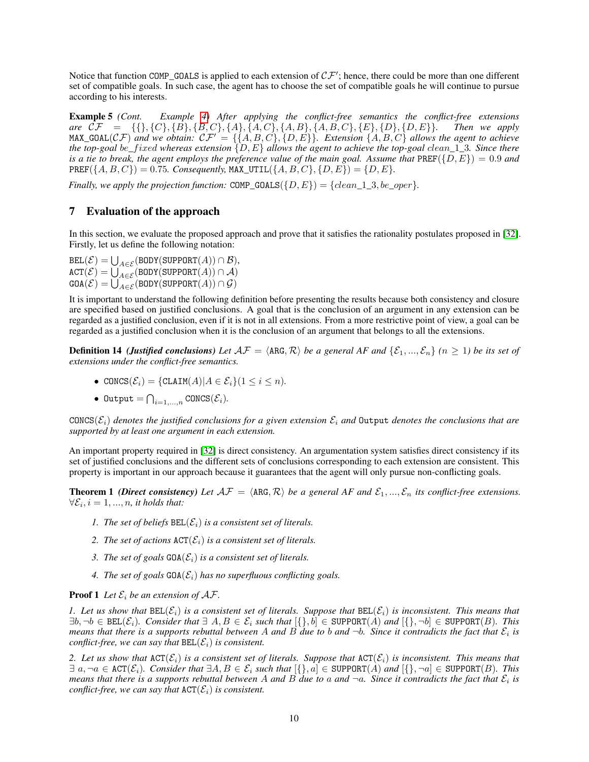Notice that function COMP\_GOALS is applied to each extension of  $\mathcal{CF}'$ ; hence, there could be more than one different set of compatible goals. In such case, the agent has to choose the set of compatible goals he will continue to pursue according to his interests.

Example 5 *(Cont. Example [4\)](#page-8-2) After applying the conflict-free semantics the conflict-free extensions are*  $CF = \{\{\}, \{C\}, \{B\}, \{B, C\}, \{A\}, \{A, C\}, \{A, B\}, \{A, B, C\}, \{E\}, \{D\}, \{D, E\}\}.$  Then we apply  $MAX_GOAL(\mathcal{CF})$  *and we obtain:*  $\mathcal{CF}' = \{\{A, B, C\}, \{D, E\}\}\$ . Extension  $\{A, B, C\}$  *allows the agent to achieve the top-goal* be*\_*f ixed *whereas extension* {D, E} *allows the agent to achieve the top-goal* clean*\_*1*\_*3*. Since there is a tie to break, the agent employs the preference value of the main goal. Assume that*  $\text{PREF}(\{D, E\}) = 0.9$  *and*  $PREF(\{A, B, C\})=0.75$ *. Consequently,* MAX\_UTIL $(\{A, B, C\}, \{D, E\})=\{D, E\}.$ 

*Finally, we apply the projection function:*  $\text{COMP\_GOLLS}(\{D, E\}) = \{clean\_1\_3, be\_oper\}.$ 

# <span id="page-9-0"></span>7 Evaluation of the approach

In this section, we evaluate the proposed approach and prove that it satisfies the rationality postulates proposed in [\[32\]](#page-13-14). Firstly, let us define the following notation:

 $\texttt{BEL}(\mathcal{E}) = \bigcup_{A \in \mathcal{E}} (\texttt{BODY}(\texttt{SUPPORT}(A)) \cap \mathcal{B}),$  $\mathtt{ACT}(\mathcal{E}) = \bigcup_{A \in \mathcal{E}} (\mathtt{BODY}(\mathtt{SUPPORT}(A)) \cap \mathcal{A})$  $\texttt{GOA}(\mathcal{E}) = \bigcup_{A \in \mathcal{E}} (\texttt{BODY}(\texttt{SUPPORT}(A)) \cap \mathcal{G})$ 

It is important to understand the following definition before presenting the results because both consistency and closure are specified based on justified conclusions. A goal that is the conclusion of an argument in any extension can be regarded as a justified conclusion, even if it is not in all extensions. From a more restrictive point of view, a goal can be regarded as a justified conclusion when it is the conclusion of an argument that belongs to all the extensions.

**Definition 14** *(Justified conclusions) Let*  $A\mathcal{F} = \langle ARG, R \rangle$  *be a general AF and*  $\{E_1, ..., E_n\}$   $(n \ge 1)$  *be its set of extensions under the conflict-free semantics.*

- CONCS $(\mathcal{E}_i) = \{\texttt{CLAIM}(A) | A \in \mathcal{E}_i\} (1 \leq i \leq n)$ .
- $\bullet$  Output  $= \bigcap_{i=1,...,n} \texttt{CONCS}(\mathcal{E}_i)$ .

CONCS( $\mathcal{E}_i$ ) denotes the justified conclusions for a given extension  $\mathcal{E}_i$  and Output denotes the conclusions that are *supported by at least one argument in each extension.*

An important property required in [\[32\]](#page-13-14) is direct consistency. An argumentation system satisfies direct consistency if its set of justified conclusions and the different sets of conclusions corresponding to each extension are consistent. This property is important in our approach because it guarantees that the agent will only pursue non-conflicting goals.

<span id="page-9-1"></span>**Theorem 1** *(Direct consistency)* Let  $AF = \langle \text{ARG}, \mathcal{R} \rangle$  *be a general AF and*  $\mathcal{E}_1, ..., \mathcal{E}_n$  *its conflict-free extensions.*  $\forall \mathcal{E}_i, i = 1, ..., n$ , it holds that:

- *1. The set of beliefs*  $BEL(\mathcal{E}_i)$  *is a consistent set of literals.*
- 2. The set of actions  $\text{ACT}(\mathcal{E}_i)$  *is a consistent set of literals.*
- 3. The set of goals  $GOA(\mathcal{E}_i)$  *is a consistent set of literals.*
- 4. The set of goals  $GDA(\mathcal{E}_i)$  has no superfluous conflicting goals.

**Proof 1** Let  $\mathcal{E}_i$  be an extension of  $\mathcal{AF}$ .

*1. Let us show that*  $BEL(\mathcal{E}_i)$  *is a consistent set of literals. Suppose that*  $BEL(\mathcal{E}_i)$  *is inconsistent. This means that* ∃b, ¬b ∈ BEL(Ei)*. Consider that* ∃ A, B ∈ E<sup>i</sup> *such that* [{}, b] ∈ SUPPORT(A) *and* [{}, ¬b] ∈ SUPPORT(B)*. This means that there is a supports rebuttal between A and B due to b and*  $\neg b$ *. Since it contradicts the fact that*  $\mathcal{E}_i$  is *conflict-free, we can say that*  $BEL(\mathcal{E}_i)$  *is consistent.* 

2. Let us show that  $\text{ACT}(\mathcal{E}_i)$  is a consistent set of literals. Suppose that  $\text{ACT}(\mathcal{E}_i)$  is inconsistent. This means that ∃ a, ¬a ∈ ACT(Ei)*. Consider that* ∃A, B ∈ E<sup>i</sup> *such that* [{}, a] ∈ SUPPORT(A) *and* [{}, ¬a] ∈ SUPPORT(B)*. This means that there is a supports rebuttal between A and B due to a and*  $\neg a$ *. Since it contradicts the fact that*  $\mathcal{E}_i$  is *conflict-free, we can say that*  $ACT(\mathcal{E}_i)$  *is consistent.*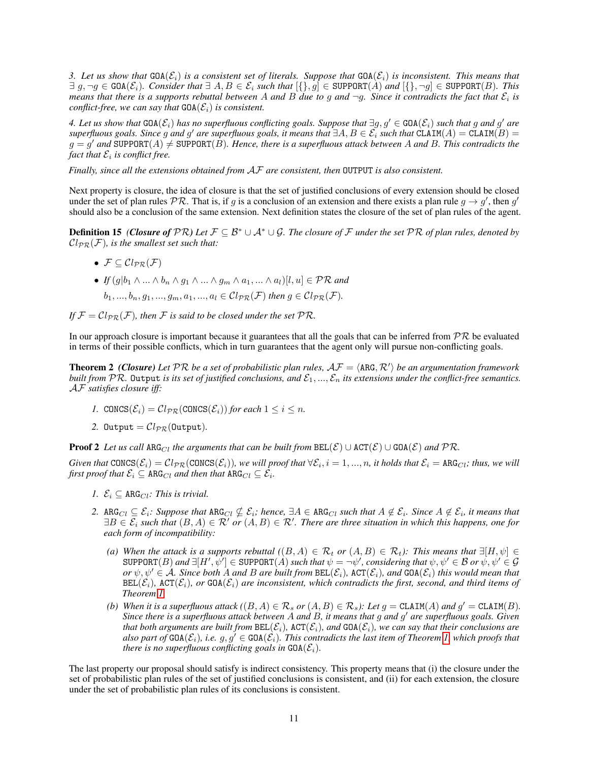*3. Let us show that*  $GCA(\mathcal{E}_i)$  *is a consistent set of literals. Suppose that*  $GCA(\mathcal{E}_i)$  *is inconsistent. This means that* ∃ g, ¬g ∈ GOA(Ei)*. Consider that* ∃ A, B ∈ E<sup>i</sup> *such that* [{}, g] ∈ SUPPORT(A) *and* [{}, ¬g] ∈ SUPPORT(B)*. This* means that there is a supports rebuttal between A and B due to g and  $\neg g$ . Since it contradicts the fact that  $\mathcal{E}_i$  is *conflict-free, we can say that*  $GDA(\mathcal{E}_i)$  *is consistent.* 

 $4.$  Let us show that  $GOA(\mathcal{E}_i)$  has no superfluous conflicting goals. Suppose that  $\exists g, g' \in GOA(\mathcal{E}_i)$  such that  $g$  and  $g'$  are  $s$ uperfluous goals. Since g and g' are superfluous goals, it means that  $\exists A, B\in \mathcal{E}_i$  such that  $\texttt{CLAIM}(A)=\texttt{CLAIM}(B)=0$  $g = g'$  and SUPPORT $(A) \neq$  SUPPORT $(\hat{B})$ . Hence, there is a superfluous attack between A and B. This contradicts the fact that  $\mathcal{E}_i$  is conflict free.

*Finally, since all the extensions obtained from* AF *are consistent, then* OUTPUT *is also consistent.*

Next property is closure, the idea of closure is that the set of justified conclusions of every extension should be closed under the set of plan rules  $PR$ . That is, if g is a conclusion of an extension and there exists a plan rule  $g \to g'$ , then  $g'$ should also be a conclusion of the same extension. Next definition states the closure of the set of plan rules of the agent.

Definition 15 *(Closure of* PR*) Let* F ⊆ B <sup>∗</sup> ∪ A<sup>∗</sup> ∪ G*. The closure of* F *under the set* PR *of plan rules, denoted by*  $Cl_{\mathcal{PR}}(\mathcal{F})$ *, is the smallest set such that:* 

- $\mathcal{F} \subset \mathcal{C}l_{\mathcal{DP}}(\mathcal{F})$
- *If*  $(g|b_1 \wedge ... \wedge b_n \wedge g_1 \wedge ... \wedge g_m \wedge a_1, ... \wedge a_l)[l, u] \in \mathcal{PR}$  and  $b_1, ..., b_n, g_1, ..., g_m, a_1, ..., a_l \in Cl_{PR}(\mathcal{F})$  *then*  $g \in Cl_{PR}(\mathcal{F})$ *.*
- If  $\mathcal{F} = \mathcal{C}l_{\mathcal{PR}}(\mathcal{F})$ *, then*  $\mathcal F$  *is said to be closed under the set*  $\mathcal{PR}$ *.*

In our approach closure is important because it guarantees that all the goals that can be inferred from  $PR$  be evaluated in terms of their possible conflicts, which in turn guarantees that the agent only will pursue non-conflicting goals.

**Theorem 2** (Closure) Let PR be a set of probabilistic plan rules,  $AF = \langle ARG, R'\rangle$  be an argumentation framework *built from*  $PR$ . Output *is its set of justified conclusions, and*  $\mathcal{E}_1, ..., \mathcal{E}_n$  *its extensions under the conflict-free semantics.* AF *satisfies closure iff:*

- *1.* CONCS( $\mathcal{E}_i$ ) =  $\mathcal{C}l_{PR}(\text{CONCS}(\mathcal{E}_i))$  *for each*  $1 \leq i \leq n$ .
- 2. Output  $=Cl_{PR}$ (Output).

**Proof 2** *Let us call*  $\text{ARG}_{Cl}$  *the arguments that can be built from*  $\text{BEL}(\mathcal{E}) \cup \text{ACT}(\mathcal{E}) \cup \text{GOA}(\mathcal{E})$  *and*  $\mathcal{PR}$ *.* 

 $G$ iven that  $\texttt{CONCS}(\mathcal{E}_i)=\mathcal{C}l_{\mathcal{PR}}(\texttt{CONCS}(\mathcal{E}_i))$ , we will proof that  $\forall \mathcal{E}_i, i=1,...,n$ , it holds that  $\mathcal{E}_i=\texttt{ARG}_{Cl}$ ; thus, we will first proof that  $\mathcal{E}_i \subseteq \texttt{ARG}_{Cl}$  and then that  $\texttt{ARG}_{Cl} \subseteq \mathcal{E}_i$ .

- *1.*  $\mathcal{E}_i \subset \text{ARG}_{Cl}$ *: This is trivial.*
- $2.$  ARG<sub>Cl</sub>  $\subseteq$   $\mathcal{E}_i$ : Suppose that  $\text{ARG}_{Cl} \nsubseteq \mathcal{E}_i$ ; hence,  $\exists A \in \text{ARG}_{Cl}$  such that  $A \notin \mathcal{E}_i$ . Since  $A \notin \mathcal{E}_i$ , it means that  $\exists B\in\mathcal{E}_i$  such that  $(B,A)\in\mathcal{R}'$  or  $(A,B)\in\mathcal{R}'$ . There are three situation in which this happens, one for *each form of incompatibility:*
	- *(a)* When the attack is a supports rebuttal  $((B, A) \in \mathcal{R}_t$  or  $(A, B) \in \mathcal{R}_t$ ): This means that  $\exists [H, \psi] \in$  $\texttt{SUPPORT}(B)$  and  $\exists [H', \psi'] \in \texttt{SUPPORT}(A)$  such that  $\psi = \neg \psi'$ , considering that  $\psi, \psi' \in \mathcal{B}$  or  $\psi, \psi' \in \mathcal{G}$  $or \psi, \psi' \in A$ *. Since both* A *and* B *are built from*  $BEL(\mathcal{E}_i)$ *,*  $ACT(\mathcal{E}_i)$ *, and*  $GOA(\mathcal{E}_i)$  *this would mean that*  $BEL(\mathcal{E}_i)$ ,  $ACT(\mathcal{E}_i)$ *, or*  $GOA(\mathcal{E}_i)$  *are inconsistent, which contradicts the first, second, and third items of Theorem [1.](#page-9-1)*
	- *(b) When it is a superfluous attack*  $((B, A) \in \mathcal{R}_s$  *or*  $(A, B) \in \mathcal{R}_s$ *): Let*  $g = \text{CLAIM}(A)$  *and*  $g' = \text{CLAIM}(B)$ *. Since there is a superfluous attack between* A *and* B*, it means that* g *and* g <sup>0</sup> *are superfluous goals. Given that both arguments are built from*  $BEL(\mathcal{E}_i)$ ,  $ACT(\mathcal{E}_i)$ *, and*  $GOA(\mathcal{E}_i)$ *, we can say that their conclusions are also part of*  $GDA(\mathcal{E}_i)$ *, i.e.*  $g, g' \in GDA(\mathcal{E}_i)$ *. This contradicts the last item of Theorem [1,](#page-9-1) which proofs that there is no superfluous conflicting goals in*  $GOA(\mathcal{E}_i)$ *.*

The last property our proposal should satisfy is indirect consistency. This property means that (i) the closure under the set of probabilistic plan rules of the set of justified conclusions is consistent, and (ii) for each extension, the closure under the set of probabilistic plan rules of its conclusions is consistent.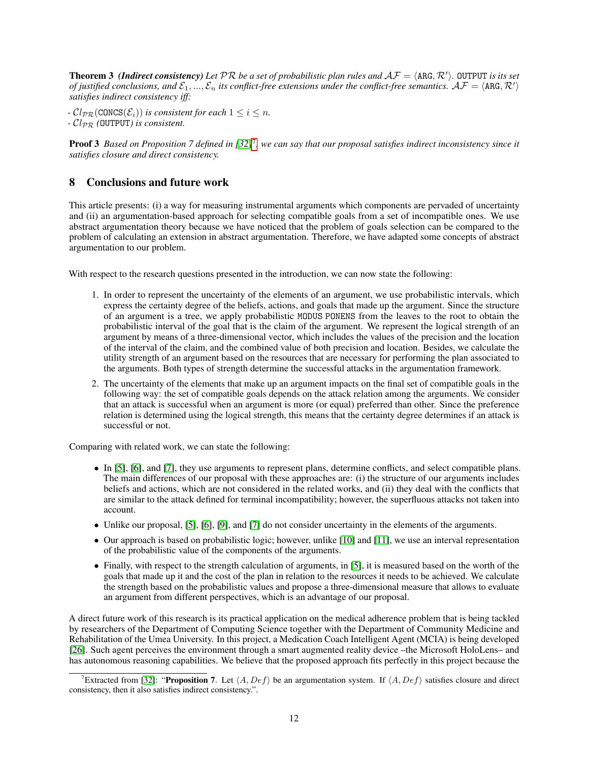**Theorem 3** (Indirect consistency) Let  $PR$  be a set of probabilistic plan rules and  $AF = \langle ARG, R'\rangle$ . OUTPUT is its set of justified conclusions, and  $\mathcal{E}_1,...,\mathcal{E}_n$  its conflict-free extensions under the conflict-free semantics.  $\mathcal{AF}=\langle$  ARG,  $\mathcal{R}'\rangle$ *satisfies indirect consistency iff:*

*-*  $Cl_{PR}(CONF(\mathcal{E}_i))$  *is consistent for each*  $1 \leq i \leq n$ . *-* ClPR *(*OUTPUT*) is consistent.*

Proof 3 Based on Proposition 7 defined in [\[32\]](#page-13-14)<sup>[7](#page-11-1)</sup>, we can say that our proposal satisfies indirect inconsistency since it *satisfies closure and direct consistency.*

# <span id="page-11-0"></span>8 Conclusions and future work

This article presents: (i) a way for measuring instrumental arguments which components are pervaded of uncertainty and (ii) an argumentation-based approach for selecting compatible goals from a set of incompatible ones. We use abstract argumentation theory because we have noticed that the problem of goals selection can be compared to the problem of calculating an extension in abstract argumentation. Therefore, we have adapted some concepts of abstract argumentation to our problem.

With respect to the research questions presented in the introduction, we can now state the following:

- 1. In order to represent the uncertainty of the elements of an argument, we use probabilistic intervals, which express the certainty degree of the beliefs, actions, and goals that made up the argument. Since the structure of an argument is a tree, we apply probabilistic MODUS PONENS from the leaves to the root to obtain the probabilistic interval of the goal that is the claim of the argument. We represent the logical strength of an argument by means of a three-dimensional vector, which includes the values of the precision and the location of the interval of the claim, and the combined value of both precision and location. Besides, we calculate the utility strength of an argument based on the resources that are necessary for performing the plan associated to the arguments. Both types of strength determine the successful attacks in the argumentation framework.
- 2. The uncertainty of the elements that make up an argument impacts on the final set of compatible goals in the following way: the set of compatible goals depends on the attack relation among the arguments. We consider that an attack is successful when an argument is more (or equal) preferred than other. Since the preference relation is determined using the logical strength, this means that the certainty degree determines if an attack is successful or not.

Comparing with related work, we can state the following:

- In [\[5\]](#page-12-4), [\[6\]](#page-12-5), and [\[7\]](#page-12-6), they use arguments to represent plans, determine conflicts, and select compatible plans. The main differences of our proposal with these approaches are: (i) the structure of our arguments includes beliefs and actions, which are not considered in the related works, and (ii) they deal with the conflicts that are similar to the attack defined for terminal incompatibility; however, the superfluous attacks not taken into account.
- Unlike our proposal, [\[5\]](#page-12-4), [\[6\]](#page-12-5), [\[9\]](#page-12-8), and [\[7\]](#page-12-6) do not consider uncertainty in the elements of the arguments.
- Our approach is based on probabilistic logic; however, unlike [\[10\]](#page-12-9) and [\[11\]](#page-12-10), we use an interval representation of the probabilistic value of the components of the arguments.
- Finally, with respect to the strength calculation of arguments, in [\[5\]](#page-12-4), it is measured based on the worth of the goals that made up it and the cost of the plan in relation to the resources it needs to be achieved. We calculate the strength based on the probabilistic values and propose a three-dimensional measure that allows to evaluate an argument from different perspectives, which is an advantage of our proposal.

A direct future work of this research is its practical application on the medical adherence problem that is being tackled by researchers of the Department of Computing Science together with the Department of Community Medicine and Rehabilitation of the Umea University. In this project, a Medication Coach Intelligent Agent (MCIA) is being developed [\[26\]](#page-13-8). Such agent perceives the environment through a smart augmented reality device –the Microsoft HoloLens– and has autonomous reasoning capabilities. We believe that the proposed approach fits perfectly in this project because the

<span id="page-11-1"></span><sup>&</sup>lt;sup>7</sup>Extracted from [\[32\]](#page-13-14): "Proposition 7. Let  $\langle A, Def \rangle$  be an argumentation system. If  $\langle A, Def \rangle$  satisfies closure and direct consistency, then it also satisfies indirect consistency.".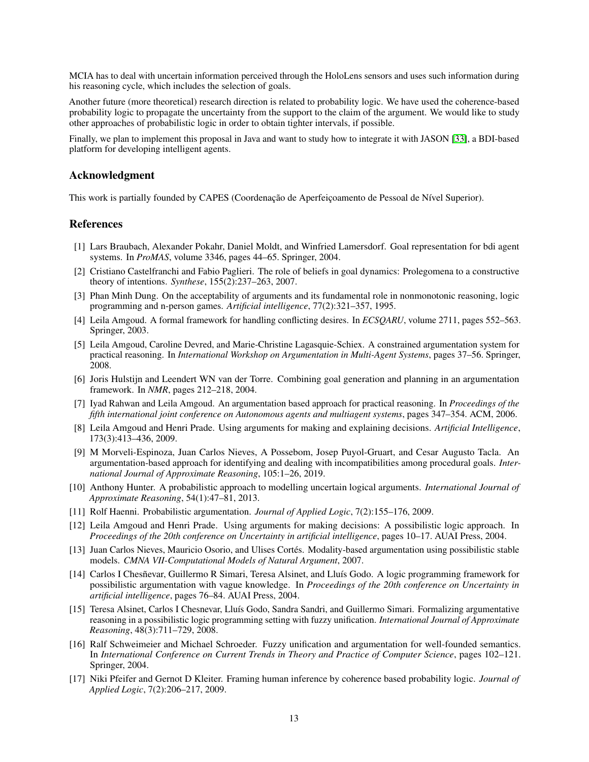MCIA has to deal with uncertain information perceived through the HoloLens sensors and uses such information during his reasoning cycle, which includes the selection of goals.

Another future (more theoretical) research direction is related to probability logic. We have used the coherence-based probability logic to propagate the uncertainty from the support to the claim of the argument. We would like to study other approaches of probabilistic logic in order to obtain tighter intervals, if possible.

Finally, we plan to implement this proposal in Java and want to study how to integrate it with JASON [\[33\]](#page-13-15), a BDI-based platform for developing intelligent agents.

## Acknowledgment

This work is partially founded by CAPES (Coordenação de Aperfeiçoamento de Pessoal de Nível Superior).

## References

- <span id="page-12-0"></span>[1] Lars Braubach, Alexander Pokahr, Daniel Moldt, and Winfried Lamersdorf. Goal representation for bdi agent systems. In *ProMAS*, volume 3346, pages 44–65. Springer, 2004.
- <span id="page-12-1"></span>[2] Cristiano Castelfranchi and Fabio Paglieri. The role of beliefs in goal dynamics: Prolegomena to a constructive theory of intentions. *Synthese*, 155(2):237–263, 2007.
- <span id="page-12-2"></span>[3] Phan Minh Dung. On the acceptability of arguments and its fundamental role in nonmonotonic reasoning, logic programming and n-person games. *Artificial intelligence*, 77(2):321–357, 1995.
- <span id="page-12-3"></span>[4] Leila Amgoud. A formal framework for handling conflicting desires. In *ECSQARU*, volume 2711, pages 552–563. Springer, 2003.
- <span id="page-12-4"></span>[5] Leila Amgoud, Caroline Devred, and Marie-Christine Lagasquie-Schiex. A constrained argumentation system for practical reasoning. In *International Workshop on Argumentation in Multi-Agent Systems*, pages 37–56. Springer, 2008.
- <span id="page-12-5"></span>[6] Joris Hulstijn and Leendert WN van der Torre. Combining goal generation and planning in an argumentation framework. In *NMR*, pages 212–218, 2004.
- <span id="page-12-6"></span>[7] Iyad Rahwan and Leila Amgoud. An argumentation based approach for practical reasoning. In *Proceedings of the fifth international joint conference on Autonomous agents and multiagent systems*, pages 347–354. ACM, 2006.
- <span id="page-12-7"></span>[8] Leila Amgoud and Henri Prade. Using arguments for making and explaining decisions. *Artificial Intelligence*, 173(3):413–436, 2009.
- <span id="page-12-8"></span>[9] M Morveli-Espinoza, Juan Carlos Nieves, A Possebom, Josep Puyol-Gruart, and Cesar Augusto Tacla. An argumentation-based approach for identifying and dealing with incompatibilities among procedural goals. *International Journal of Approximate Reasoning*, 105:1–26, 2019.
- <span id="page-12-9"></span>[10] Anthony Hunter. A probabilistic approach to modelling uncertain logical arguments. *International Journal of Approximate Reasoning*, 54(1):47–81, 2013.
- <span id="page-12-10"></span>[11] Rolf Haenni. Probabilistic argumentation. *Journal of Applied Logic*, 7(2):155–176, 2009.
- <span id="page-12-11"></span>[12] Leila Amgoud and Henri Prade. Using arguments for making decisions: A possibilistic logic approach. In *Proceedings of the 20th conference on Uncertainty in artificial intelligence*, pages 10–17. AUAI Press, 2004.
- <span id="page-12-12"></span>[13] Juan Carlos Nieves, Mauricio Osorio, and Ulises Cortés. Modality-based argumentation using possibilistic stable models. *CMNA VII-Computational Models of Natural Argument*, 2007.
- <span id="page-12-13"></span>[14] Carlos I Chesñevar, Guillermo R Simari, Teresa Alsinet, and Lluís Godo. A logic programming framework for possibilistic argumentation with vague knowledge. In *Proceedings of the 20th conference on Uncertainty in artificial intelligence*, pages 76–84. AUAI Press, 2004.
- <span id="page-12-14"></span>[15] Teresa Alsinet, Carlos I Chesnevar, Lluís Godo, Sandra Sandri, and Guillermo Simari. Formalizing argumentative reasoning in a possibilistic logic programming setting with fuzzy unification. *International Journal of Approximate Reasoning*, 48(3):711–729, 2008.
- <span id="page-12-15"></span>[16] Ralf Schweimeier and Michael Schroeder. Fuzzy unification and argumentation for well-founded semantics. In *International Conference on Current Trends in Theory and Practice of Computer Science*, pages 102–121. Springer, 2004.
- <span id="page-12-16"></span>[17] Niki Pfeifer and Gernot D Kleiter. Framing human inference by coherence based probability logic. *Journal of Applied Logic*, 7(2):206–217, 2009.